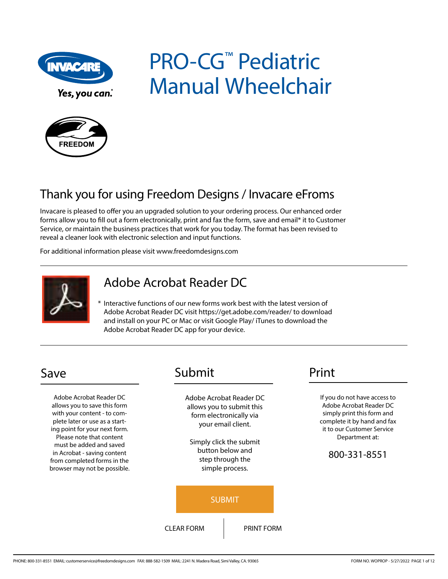

PRO-CG<sup>™</sup> Pediatric Manual Wheelchair



### Thank you for using Freedom Designs / Invacare eFroms

Invacare is pleased to offer you an upgraded solution to your ordering process. Our enhanced order forms allow you to fill out a form electronically, print and fax the form, save and email\* it to Customer Service, or maintain the business practices that work for you today. The format has been revised to reveal a cleaner look with electronic selection and input functions.

For additional information please visit www.freedomdesigns.com



### Adobe Acrobat Reader DC

\* Interactive functions of our new forms work best with the latest version of Adobe Acrobat Reader DC visit https://get.adobe.com/reader/ to download and install on your PC or Mac or visit Google Play/ iTunes to download the Adobe Acrobat Reader DC app for your device.

Adobe Acrobat Reader DC allows you to save this form with your content - to complete later or use as a starting point for your next form. Please note that content must be added and saved in Acrobat - saving content from completed forms in the browser may not be possible.

### Save Submit Print

Adobe Acrobat Reader DC allows you to submit this form electronically via your email client.

Simply click the submit button below and step through the simple process.



If you do not have access to Adobe Acrobat Reader DC simply print this form and complete it by hand and fax it to our Customer Service Department at:

### 800-331-8551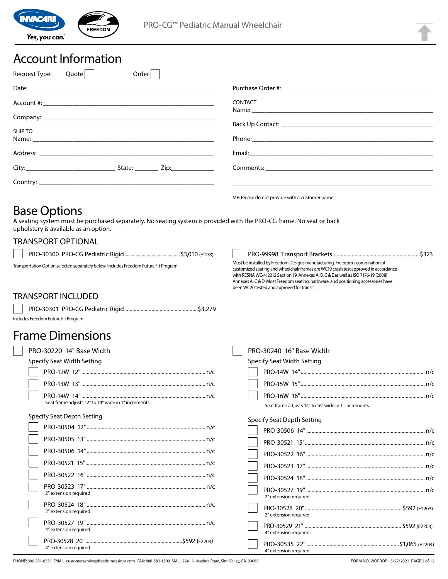

### Account Information

| Order<br>Request Type:<br>Quote |                                                |
|---------------------------------|------------------------------------------------|
|                                 |                                                |
|                                 | <b>CONTACT</b>                                 |
|                                 |                                                |
| <b>SHIP TO</b>                  |                                                |
|                                 |                                                |
|                                 |                                                |
|                                 |                                                |
|                                 | MF: Please do not provide with a customer name |

### Base Options

A seating system must be purchased separately. No seating system is provided with the PRO-CG frame. No seat or back upholstery is available as an option.

### TRANSPORT OPTIONAL

PRO-30300 PRO-CG Pediatric Rigid.............................................\$3,010 (E1233)

Transportation Option selected separately below. Includes Freedom Future Fit Program

PRO-99998 Transport Brackets ...............................................................\$323

Must be installed by Freedom Designs manufacturing. Freedom's combination of customized seating and wheelchair frames are WC19 crash test approved in accordance with RESNA WC-4: 2012 Section 19, Annexes A, B, C & E as well as ISO 7176-19 (2008) Annexes A, C & D. Most Freedom seating, hardware, and positioning accessories have been WC20 tested and approved for transit.

#### TRANSPORT INCLUDED

| ludes Freedom Future Fit Program. |  |
|-----------------------------------|--|

### Frame Dimensions

| PRO-30220 14" Base Width                             |  |
|------------------------------------------------------|--|
| Specify Seat Width Setting                           |  |
|                                                      |  |
|                                                      |  |
| Seat frame adjusts 12" to 14" wide in 1" increments. |  |
| Specify Seat Depth Setting                           |  |

| 2" extension required |
|-----------------------|
| 2" extension required |
| 4" extension required |
| 4" extension required |

|  | PRO-30240 16" Base Width                             |  |
|--|------------------------------------------------------|--|
|  | Specify Seat Width Setting                           |  |
|  |                                                      |  |
|  |                                                      |  |
|  |                                                      |  |
|  | Seat frame adjusts 14" to 16" wide in 1" increments. |  |
|  | Specify Seat Depth Setting                           |  |
|  |                                                      |  |
|  |                                                      |  |
|  |                                                      |  |
|  |                                                      |  |
|  |                                                      |  |
|  | 2" extension required                                |  |
|  | 2" extension required                                |  |
|  | 4" extension required                                |  |

PRO-30535 22" ....................................................................\$1,065 (E2204)

4" extension required

PHONE: 800-331-8551 EMAIL: customerservice@freedomdesigns.com FAX: 888-582-1509 MAIL: 2241 N. Madera Road, Simi Valley, CA. 93065 FORM NO. WOPROP - 5/27/2022 PAGE 2 of 12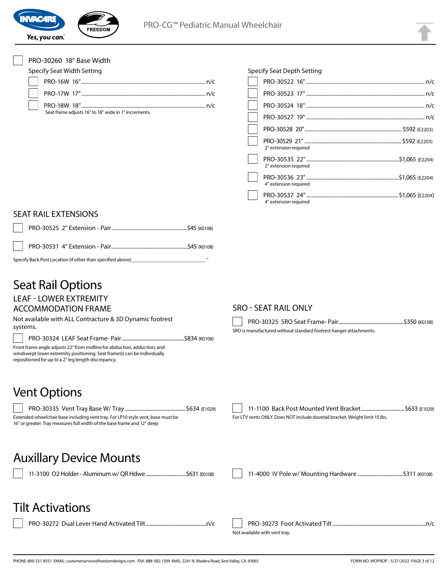

| PRO-30260 18" Base Width                                                                                                                                                                                    |                                                                             |
|-------------------------------------------------------------------------------------------------------------------------------------------------------------------------------------------------------------|-----------------------------------------------------------------------------|
| <b>Specify Seat Width Setting</b>                                                                                                                                                                           | <b>Specify Seat Depth Setting</b>                                           |
|                                                                                                                                                                                                             |                                                                             |
|                                                                                                                                                                                                             |                                                                             |
|                                                                                                                                                                                                             |                                                                             |
| Seat frame adjusts 16" to 18" wide in 1" increments.                                                                                                                                                        |                                                                             |
|                                                                                                                                                                                                             |                                                                             |
|                                                                                                                                                                                                             |                                                                             |
|                                                                                                                                                                                                             | 2" extension required                                                       |
|                                                                                                                                                                                                             | 2" extension required                                                       |
|                                                                                                                                                                                                             | 4" extension required                                                       |
|                                                                                                                                                                                                             | 4" extension required                                                       |
| <b>SEAT RAIL EXTENSIONS</b>                                                                                                                                                                                 |                                                                             |
|                                                                                                                                                                                                             |                                                                             |
|                                                                                                                                                                                                             |                                                                             |
| Specify Back Post Location (if other than specified above)______________________                                                                                                                            |                                                                             |
| <b>Seat Rail Options</b><br><b>LEAF - LOWER EXTREMITY</b>                                                                                                                                                   |                                                                             |
| <b>ACCOMMODATION FRAME</b>                                                                                                                                                                                  | <b>SRO - SEAT RAIL ONLY</b>                                                 |
| Not available with ALL Contracture & 3D Dynamic footrest                                                                                                                                                    |                                                                             |
| systems.                                                                                                                                                                                                    | SRO is manufactured without standard footrest hanger attachments.           |
| Front frame angle adjusts 22° from midline for abduction, adduction, and<br>windswept lower extremity positioning. Seat frame(s) can be individually<br>repositioned for up to a 2" leg length discrepancy. |                                                                             |
| <b>Vent Options</b>                                                                                                                                                                                         |                                                                             |
|                                                                                                                                                                                                             |                                                                             |
| Extended wheelchair base including vent tray. For LP10 style vent, base must be<br>16" or greater. Tray measures full width of the base frame and 12" deep                                                  | For LTV vents ONLY. Does NOT include dovetail bracket. Weight limit 15 lbs. |
| <b>Auxillary Device Mounts</b>                                                                                                                                                                              |                                                                             |
|                                                                                                                                                                                                             |                                                                             |
| Tilt Activations                                                                                                                                                                                            |                                                                             |
|                                                                                                                                                                                                             |                                                                             |
|                                                                                                                                                                                                             | Not available with vent tray.                                               |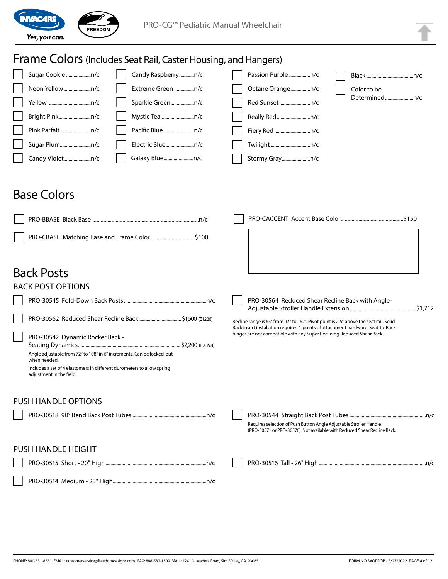

## Frame Colors (Includes Seat Rail, Caster Housing, and Hangers)

|                 | Candy Raspberryn/c | Passion Purple n/c |               |
|-----------------|--------------------|--------------------|---------------|
| Neon Yellown/c  | Extreme Green n/c  | Octane Orangen/c   | Color to be   |
|                 |                    | Red Sunsetn/c      | Determinedn/c |
| Bright Pinkn/c  | Mystic Tealn/c     | Really Redn/c      |               |
| Pink Parfaitn/c | Pacific Bluen/c    | Fiery Red n/c      |               |
| Sugar Plumn/c   | Electric Bluen/c   |                    |               |
| Candy Violetn/c | Galaxy Bluen/c     | Stormy Grayn/c     |               |

### Base Colors

| PRO-CBASE Matching Base and Frame Color\$100                                                                                                                                                                                   |                                                                                                                                                                                                                                                    |
|--------------------------------------------------------------------------------------------------------------------------------------------------------------------------------------------------------------------------------|----------------------------------------------------------------------------------------------------------------------------------------------------------------------------------------------------------------------------------------------------|
| <b>Back Posts</b>                                                                                                                                                                                                              |                                                                                                                                                                                                                                                    |
| <b>BACK POST OPTIONS</b>                                                                                                                                                                                                       |                                                                                                                                                                                                                                                    |
|                                                                                                                                                                                                                                | PRO-30564 Reduced Shear Recline Back with Angle-                                                                                                                                                                                                   |
| PRO-30542 Dynamic Rocker Back -<br>Angle adjustable from 72° to 108° in 6° increments. Can be locked-out<br>when needed.<br>Includes a set of 4 elastomers in different durometers to allow spring<br>adjustment in the field. | Recline range is 65° from 97° to 162°. Pivot point is 2.5" above the seat rail. Solid<br>Back Insert installation requires 4-points of attachment hardware. Seat-to-Back<br>hinges are not compatible with any Super Reclining Reduced Shear Back. |
| <b>PUSH HANDLE OPTIONS</b>                                                                                                                                                                                                     |                                                                                                                                                                                                                                                    |
|                                                                                                                                                                                                                                | Requires selection of Push Button Angle Adjustable Stroller Handle<br>(PRO-30571 or PRO-30576). Not available with Reduced Shear Recline Back.                                                                                                     |
| <b>PUSH HANDLE HEIGHT</b>                                                                                                                                                                                                      |                                                                                                                                                                                                                                                    |
|                                                                                                                                                                                                                                |                                                                                                                                                                                                                                                    |
|                                                                                                                                                                                                                                |                                                                                                                                                                                                                                                    |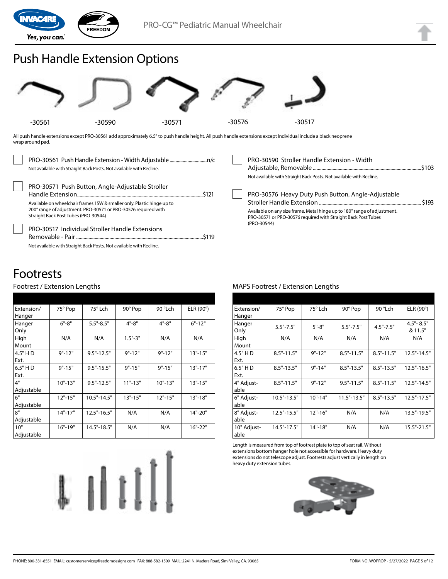

### Push Handle Extension Options



All push handle extensions except PRO-30561 add approximately 6.5" to push handle height. All push handle extensions except Individual include a black neoprene wrap around pad.

| Not available with Straight Back Posts. Not available with Recline.                                                                                                                                                                                                                            | PRO-30590 Stroller Handle Extension - Width<br>Not available with Straight Back Posts. Not available with Recline.                                                                                             |       |
|------------------------------------------------------------------------------------------------------------------------------------------------------------------------------------------------------------------------------------------------------------------------------------------------|----------------------------------------------------------------------------------------------------------------------------------------------------------------------------------------------------------------|-------|
| PRO-30571 Push Button, Angle-Adjustable Stroller<br>Available on wheelchair frames 15W & smaller only. Plastic hinge up to<br>200° range of adjustment. PRO-30571 or PRO-30576 required with<br>Straight Back Post Tubes (PRO-30544)<br><b>PRO-30517 Individual Stroller Handle Extensions</b> | PRO-30576 Heavy Duty Push Button, Angle-Adjustable<br>Available on any size frame. Metal hinge up to 180° range of adjustment.<br>PRO-30571 or PRO-30576 required with Straight Back Post Tubes<br>(PRO-30544) | \$193 |
| Not available with Straight Back Posts. Not available with Recline.                                                                                                                                                                                                                            |                                                                                                                                                                                                                |       |

### Footrests

#### Footrest / Extension Lengths

| Extension/ | 75° Pop     | 75° Lch         | 90° Pop     | 90 °Lch     | ELR (90°)   |
|------------|-------------|-----------------|-------------|-------------|-------------|
| Hanger     |             |                 |             |             |             |
| Hanger     | $6" - 8"$   | $5.5" - 8.5"$   | $4" - 8"$   | $4" - 8"$   | $6" - 12"$  |
| Only       |             |                 |             |             |             |
| High       | N/A         | N/A             | $1.5" - 3"$ | N/A         | N/A         |
| Mount      |             |                 |             |             |             |
| 4.5" H D   | $9" - 12"$  | $9.5" - 12.5"$  | $9" - 12"$  | $9" - 12"$  | $13" - 15"$ |
| Ext.       |             |                 |             |             |             |
| $6.5"$ HD  | $9" - 15"$  | $9.5" - 15.5"$  | $9" - 15"$  | $9" - 15"$  | $13" - 17"$ |
| Ext.       |             |                 |             |             |             |
| 4"         | $10" - 13"$ | $9.5" - 12.5"$  | $11" - 13"$ | $10" - 13"$ | $13" - 15"$ |
| Adjustable |             |                 |             |             |             |
| 6"         | $12" - 15"$ | $10.5" - 14.5"$ | $13" - 15"$ | $12" - 15"$ | $13" - 18"$ |
| Adjustable |             |                 |             |             |             |
| 8"         | $14" - 17"$ | 12.5"-16.5"     | N/A         | N/A         | 14"-20"     |
| Adjustable |             |                 |             |             |             |
| 10"        | $16" - 19"$ | 14.5"-18.5"     | N/A         | N/A         | 16"-22"     |
| Adjustable |             |                 |             |             |             |



#### MAPS Footrest / Extension Lengths

| Extension/  | 75° Pop        | 75° Lch     | 90° Pop         | 90 °Lch        | ELR $(90^\circ)$ |
|-------------|----------------|-------------|-----------------|----------------|------------------|
| Hanger      |                |             |                 |                |                  |
| Hanger      | $5.5" - 7.5"$  | $5" - 8"$   | $5.5" - 7.5"$   | $4.5" - 7.5"$  | $4.5" - 8.5"$    |
| Only        |                |             |                 |                | & 11.5"          |
| High        | N/A            | N/A         | N/A             | N/A            | N/A              |
| Mount       |                |             |                 |                |                  |
| 4.5" H D    | $8.5" - 11.5"$ | $9" - 12"$  | $8.5" - 11.5"$  | $8.5" - 11.5"$ | $12.5" - 14.5"$  |
| Ext.        |                |             |                 |                |                  |
| 6.5" H D    | $8.5" - 13.5"$ | $9" - 14"$  | $8.5" - 13.5"$  | $8.5" - 13.5"$ | $12.5" - 16.5"$  |
| Ext.        |                |             |                 |                |                  |
| 4" Adjust-  | $8.5" - 11.5"$ | $9" - 12"$  | $9.5" - 11.5"$  | $8.5" - 11.5"$ | 12.5"-14.5"      |
| able        |                |             |                 |                |                  |
| 6" Adjust-  | 10.5"-13.5"    | $10" - 14"$ | $11.5" - 13.5"$ | $8.5" - 13.5"$ | 12.5"-17.5"      |
| able        |                |             |                 |                |                  |
| 8" Adjust-  | 12.5"-15.5"    | $12" - 16"$ | N/A             | N/A            | 13.5"-19.5"      |
| able        |                |             |                 |                |                  |
| 10" Adjust- | 14.5"-17.5"    | $14" - 18"$ | N/A             | N/A            | $15.5" - 21.5"$  |
| able        |                |             |                 |                |                  |

Length is measured from top of footrest plate to top of seat rail. Without extensions bottom hanger hole not accessible for hardware. Heavy duty extensions do not telescope adjust. Footrests adjust vertically in length on heavy duty extension tubes.

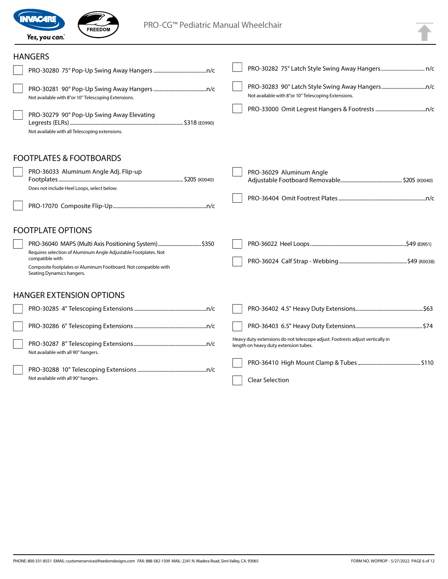

FREEDOM

PRO-CG™ Pediatric Manual Wheelchair

|  | s, |
|--|----|
|  |    |
|  |    |
|  |    |
|  |    |

#### **HANGERS**

| Not available with 8"or 10" Telescoping Extensions.                                                                                                                                                                                        | Not available with 8"or 10" Telescoping Extensions.                                                                    |  |
|--------------------------------------------------------------------------------------------------------------------------------------------------------------------------------------------------------------------------------------------|------------------------------------------------------------------------------------------------------------------------|--|
| PRO-30279 90° Pop-Up Swing Away Elevating<br>Not available with all Telescoping extensions.                                                                                                                                                |                                                                                                                        |  |
| <b>FOOTPLATES &amp; FOOTBOARDS</b>                                                                                                                                                                                                         |                                                                                                                        |  |
| PRO-36033 Aluminum Angle Adj. Flip-up<br>Does not include Heel Loops, select below.                                                                                                                                                        | PRO-36029 Aluminum Angle                                                                                               |  |
|                                                                                                                                                                                                                                            |                                                                                                                        |  |
| <b>FOOTPLATE OPTIONS</b>                                                                                                                                                                                                                   |                                                                                                                        |  |
| PRO-36040 MAPS (Multi Axis Positioning System) \$350<br>Requires selection of Aluminum Angle Adjustable Footplates. Not<br>compatible with<br>Composite footplates or Aluminum Footboard. Not compatible with<br>Seating Dynamics hangers. |                                                                                                                        |  |
| <b>HANGER EXTENSION OPTIONS</b>                                                                                                                                                                                                            |                                                                                                                        |  |
|                                                                                                                                                                                                                                            |                                                                                                                        |  |
|                                                                                                                                                                                                                                            |                                                                                                                        |  |
| Not available with all 90° hangers.                                                                                                                                                                                                        | Heavy duty extensions do not telescope adjust. Footrests adjust vertically in<br>length on heavy duty extension tubes. |  |
| Not available with all 90° hangers.                                                                                                                                                                                                        | <b>Clear Selection</b>                                                                                                 |  |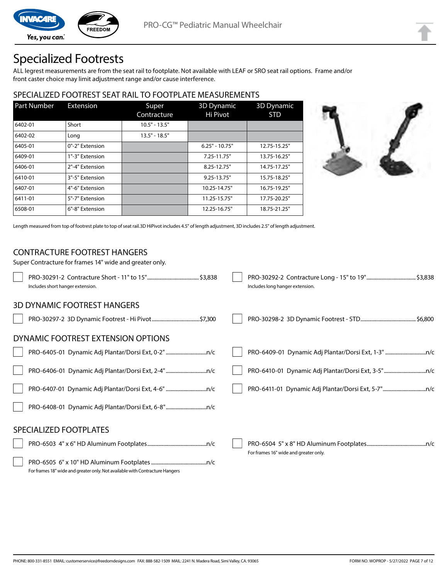

### Specialized Footrests

ALL legrest measurements are from the seat rail to footplate. Not available with LEAF or SRO seat rail options. Frame and/or front caster choice may limit adjustment range and/or cause interference.

#### SPECIALIZED FOOTREST SEAT RAIL TO FOOTPLATE MEASUREMENTS

| <b>Part Number</b> | Extension       | Super<br>Contracture | 3D Dynamic<br>Hi Pivot | <b>3D Dynamic</b><br><b>STD</b> |
|--------------------|-----------------|----------------------|------------------------|---------------------------------|
| 6402-01            | Short           | $10.5" - 13.5"$      |                        |                                 |
| 6402-02            | Long            | $13.5" - 18.5"$      |                        |                                 |
| 6405-01            | 0"-2" Extension |                      | $6.25" - 10.75"$       | 12.75-15.25"                    |
| 6409-01            | 1"-3" Extension |                      | 7.25-11.75"            | 13.75-16.25"                    |
| 6406-01            | 2"-4" Extension |                      | 8.25-12.75"            | 14.75-17.25"                    |
| 6410-01            | 3"-5" Extension |                      | $9.25 - 13.75$ "       | 15.75-18.25"                    |
| 6407-01            | 4"-6" Extension |                      | 10.25-14.75"           | 16.75-19.25"                    |
| 6411-01            | 5"-7" Extension |                      | 11.25-15.75"           | 17.75-20.25"                    |
| 6508-01            | 6"-8" Extension |                      | 12.25-16.75"           | 18.75-21.25"                    |



Length measured from top of footrest plate to top of seat rail.3D HiPivot includes 4.5" of length adjustment, 3D includes 2.5" of length adjustment.

#### CONTRACTURE FOOTREST HANGERS

Super Contracture for frames 14" wide and greater only. PRO-30291-2 Contracture Short - 11" to 15" ..........................................\$3,838 Includes short hanger extension. PRO-30292-2 Contracture Long - 15" to 19" ........................................\$3,838 Includes long hanger extension. 3D DYNAMIC FOOTREST HANGERS PRO-30297-2 3D Dynamic Footrest - Hi Pivot.......................................\$7,300 PRO-30298-2 3D Dynamic Footrest - STD.............................................\$6,800 DYNAMIC FOOTREST EXTENSION OPTIONS PRO-6405-01 Dynamic Adj Plantar/Dorsi Ext, 0-2".................................n/c PRO-6406-01 Dynamic Adj Plantar/Dorsi Ext, 2-4".................................n/c PRO-6407-01 Dynamic Adj Plantar/Dorsi Ext, 4-6" .................................n/c PRO-6408-01 Dynamic Adj Plantar/Dorsi Ext, 6-8".................................n/c PRO-6409-01 Dynamic Adj Plantar/Dorsi Ext, 1-3" .................................n/c PRO-6410-01 Dynamic Adj Plantar/Dorsi Ext, 3-5"..................................n/c PRO-6411-01 Dynamic Adj Plantar/Dorsi Ext, 5-7"...................................n/c SPECIALIZED FOOTPLATES PRO-6503 4" x 6" HD Aluminum Footplates................................................n/c PRO-6505 6" x 10" HD Aluminum Footplates.............................................n/c For frames 18" wide and greater only. Not available with Contracture Hangers PRO-6504 5" x 8" HD Aluminum Footplates................................................n/c For frames 16" wide and greater only.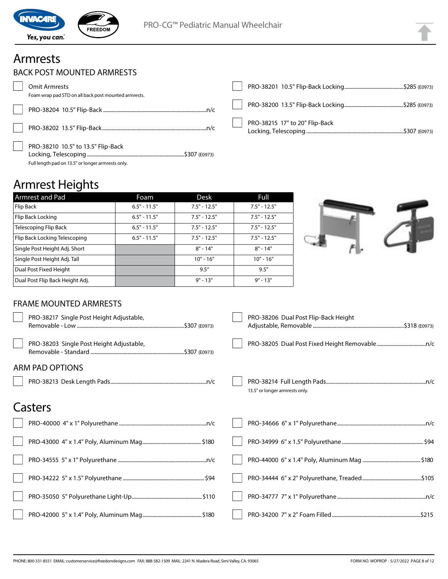

### Armrests

|  | BACK POST MOUNTED ARMRESTS |  |
|--|----------------------------|--|
|--|----------------------------|--|

| <b>Omit Armrests</b>                                                                    |                                |
|-----------------------------------------------------------------------------------------|--------------------------------|
| Foam wrap pad STD on all back post mounted armrests.                                    |                                |
|                                                                                         |                                |
|                                                                                         | PRO-38215 17" to 20" Flip-Back |
| PRO-38210 10.5" to 13.5" Flip-Back<br>Full length pad on 13.5" or longer armrests only. |                                |

### Armrest Heights

| Armrest and Pad                 | Foam           | Desk           | Full           |  |
|---------------------------------|----------------|----------------|----------------|--|
| Flip Back                       | $6.5" - 11.5"$ | $7.5" - 12.5"$ | $7.5" - 12.5"$ |  |
| Flip Back Locking               | $6.5" - 11.5"$ | $7.5" - 12.5"$ | $7.5" - 12.5"$ |  |
| Telescoping Flip Back           | $6.5" - 11.5"$ | $7.5" - 12.5"$ | $7.5" - 12.5"$ |  |
| Flip Back Locking Telescoping   | $6.5" - 11.5"$ | $7.5" - 12.5"$ | $7.5" - 12.5"$ |  |
| Single Post Height Adj. Short   |                | $8" - 14"$     | $8" - 14"$     |  |
| Single Post Height Adj. Tall    |                | $10" - 16"$    | $10" - 16"$    |  |
| Dual Post Fixed Height          |                | 9.5''          | 9.5''          |  |
| Dual Post Flip Back Height Adj. |                | $9" - 13"$     | $9" - 13"$     |  |



### FRAME MOUNTED ARMRESTS

| PRO-38217 Single Post Height Adjustable, | PRO-38206 Dual Post Flip-Back Height |
|------------------------------------------|--------------------------------------|
| PRO-38203 Single Post Height Adjustable, |                                      |
| <b>ARM PAD OPTIONS</b>                   |                                      |
|                                          | 13.5" or longer armrests only.       |
| Casters                                  |                                      |
|                                          |                                      |
|                                          |                                      |
|                                          |                                      |
|                                          |                                      |
|                                          |                                      |
|                                          |                                      |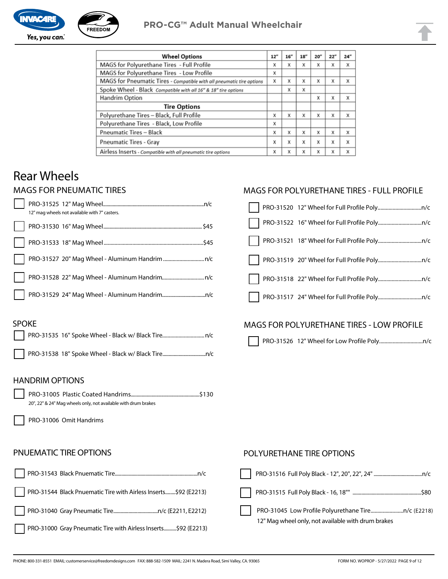

| <b>Wheel Options</b>                                                  | 12" | 16'' | 18" | 20'' | 22" | 24" |
|-----------------------------------------------------------------------|-----|------|-----|------|-----|-----|
| MAGS for Polyurethane Tires - Full Profile                            | x   | X    | X   | X    | X   | x   |
| MAGS for Polyurethane Tires - Low Profile                             | x   |      |     |      |     |     |
| MAGS for Pneumatic Tires - Compatible with all pneumatic tire options | X   | X    | x   | X    | X   | x   |
| Spoke Wheel - Black Compatible with all 16" & 18" tire options        |     | X    | X   |      |     |     |
| Handrim Option                                                        |     |      |     | X    | X   | X   |
| <b>Tire Options</b>                                                   |     |      |     |      |     |     |
| Polyurethane Tires - Black, Full Profile                              | x   | x    | X   | x    | X   | x   |
| Polyurethane Tires - Black, Low Profile                               | x   |      |     |      |     |     |
| <b>Pneumatic Tires - Black</b>                                        | x   | X    | X   | x    | X   | X   |
| <b>Pneumatic Tires - Gray</b>                                         | x   | X    | X   | X    | X   | X   |
| Airless Inserts - Compatible with all pneumatic tire options          | x   | X    | X   | X    | X   | X   |

### Rear Wheels

### MAGS FOR PNEUMATIC TIRES

|  | 12" mag wheels not available with 7" casters. |
|--|-----------------------------------------------|
|  |                                               |
|  |                                               |
|  |                                               |
|  |                                               |
|  |                                               |

#### MAGS FOR POLYURETHANE TIRES - FULL PROFILE

#### SPOKE

### MAGS FOR POLYURETHANE TIRES - LOW PROFILE

PRO-31526 12" Wheel for Low Profile Poly................................n/c

#### HANDRIM OPTIONS

PRO-31005 Plastic Coated Handrims........................................................\$130 20", 22" & 24" Mag wheels only, not available with drum brakes

PRO-31006 Omit Handrims

#### PNUEMATIC TIRE OPTIONS



#### POLYURETHANE TIRE OPTIONS

| 12" Mag wheel only, not available with drum brakes |
|----------------------------------------------------|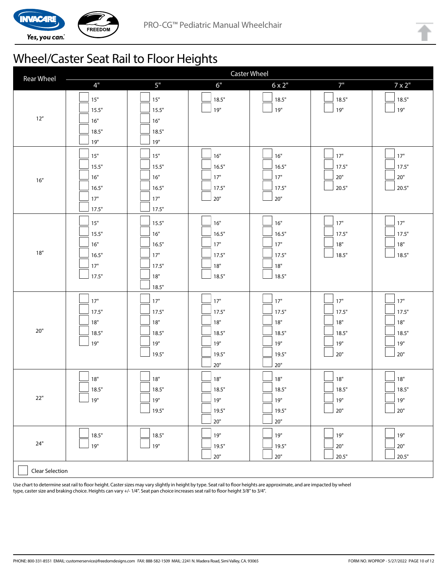

## Wheel/Caster Seat Rail to Floor Heights

| <b>Rear Wheel</b> | <b>Caster Wheel</b>                                |                                                         |                                                         |                                                         |                                                |                                              |
|-------------------|----------------------------------------------------|---------------------------------------------------------|---------------------------------------------------------|---------------------------------------------------------|------------------------------------------------|----------------------------------------------|
|                   | $4"$                                               | $5"$                                                    | 6"                                                      | $6 \times 2"$                                           | 7"                                             | $7 \times 2$ "                               |
| $12''$            | $15"$<br>15.5"<br>16"<br>18.5"<br>19"              | $15"$<br>15.5"<br>16"<br>18.5"<br>19"                   | 18.5"<br>19"                                            | 18.5"<br>19"                                            | 18.5"<br>19"                                   | 18.5"<br>19"                                 |
| $16''$            | $15"$<br>15.5"<br>$16"$<br>16.5"<br>$17"$<br>17.5" | 15"<br>15.5"<br>16"<br>16.5"<br>17"<br>17.5"            | 16"<br>16.5"<br>$17"$<br>17.5"<br>$20"$                 | 16"<br>16.5"<br>17"<br>17.5"<br>$20"$                   | $17"$<br>17.5"<br>$20"$<br>$\frac{1}{20.5}$ "  | 17"<br>17.5"<br>$20"$<br>20.5"               |
| $18''$            | $15"$<br>15.5"<br>16"<br>16.5"<br>$17"$<br>17.5"   | 15.5"<br>16"<br>16.5"<br>$17"$<br>17.5"<br>18"<br>18.5" | $16"$<br>16.5"<br>17"<br>17.5"<br>$18"$<br>18.5"        | 16"<br>16.5"<br>17"<br>17.5"<br>18"<br>18.5"            | $17"$<br>17.5"<br>$18"$<br>18.5"               | $17"$<br>17.5"<br>18"<br>18.5"               |
| $20"$             | $17"$<br>17.5"<br>18"<br>18.5"<br>19"              | $17"$<br>17.5"<br>18"<br>18.5"<br>19"<br>19.5"          | $17"$<br>17.5"<br>18"<br>18.5"<br>19"<br>19.5"<br>$20"$ | $17"$<br>17.5"<br>18"<br>18.5"<br>19"<br>19.5"<br>$20"$ | $17"$<br>17.5"<br>18"<br>18.5"<br>19"<br>$20"$ | $17"$<br>17.5"<br>18"<br>18.5"<br>19"<br>20" |
| 22"               | $18"$<br>18.5"<br>19"                              | $18"$<br>18.5"<br>$19"$<br>19.5"                        | $18"$<br>18.5"<br>$19"$<br>19.5"<br>$20"$               | $18"$<br>18.5"<br>$19"$<br>19.5"<br>$20"$               | $18"$<br>18.5"<br>∫ 19"<br>$20"$               | $18"$<br>18.5"<br>ע19"<br>$20"$              |
| $24"$             | 18.5"<br>19"                                       | 18.5"<br>19"                                            | 19"<br>19.5"<br>$20"$                                   | $19"$<br>19.5"<br>$20"$                                 | ן 19"<br>$20"$<br>20.5"                        | 19"<br>$20"$<br>20.5"                        |
| Clear Selection   |                                                    |                                                         |                                                         |                                                         |                                                |                                              |

Use chart to determine seat rail to floor height. Caster sizes may vary slightly in height by type. Seat rail to floor heights are approximate, and are impacted by wheel type, caster size and braking choice. Heights can vary +/- 1/4". Seat pan choice increases seat rail to floor height 3/8" to 3/4".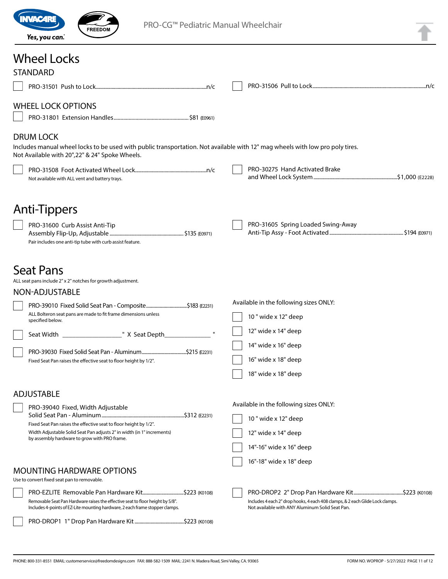

PRO-CG™ Pediatric Manual Wheelchair

### Wheel Locks

| <b>STANDARD</b>                                                                                                                                                |  |                                                                                                                                  |  |
|----------------------------------------------------------------------------------------------------------------------------------------------------------------|--|----------------------------------------------------------------------------------------------------------------------------------|--|
|                                                                                                                                                                |  |                                                                                                                                  |  |
| <b>WHEEL LOCK OPTIONS</b>                                                                                                                                      |  |                                                                                                                                  |  |
|                                                                                                                                                                |  |                                                                                                                                  |  |
|                                                                                                                                                                |  |                                                                                                                                  |  |
| <b>DRUM LOCK</b>                                                                                                                                               |  |                                                                                                                                  |  |
| Includes manual wheel locks to be used with public transportation. Not available with 12" mag wheels with low pro poly tires.                                  |  |                                                                                                                                  |  |
| Not Available with 20", 22" & 24" Spoke Wheels.                                                                                                                |  |                                                                                                                                  |  |
|                                                                                                                                                                |  | PRO-30275 Hand Activated Brake                                                                                                   |  |
| Not available with ALL vent and battery trays.                                                                                                                 |  |                                                                                                                                  |  |
|                                                                                                                                                                |  |                                                                                                                                  |  |
|                                                                                                                                                                |  |                                                                                                                                  |  |
| Anti-Tippers                                                                                                                                                   |  |                                                                                                                                  |  |
| PRO-31600 Curb Assist Anti-Tip                                                                                                                                 |  | PRO-31605 Spring Loaded Swing-Away                                                                                               |  |
|                                                                                                                                                                |  |                                                                                                                                  |  |
| Pair includes one anti-tip tube with curb assist feature.                                                                                                      |  |                                                                                                                                  |  |
|                                                                                                                                                                |  |                                                                                                                                  |  |
| <b>Seat Pans</b>                                                                                                                                               |  |                                                                                                                                  |  |
| ALL seat pans include 2" x 2" notches for growth adjustment.                                                                                                   |  |                                                                                                                                  |  |
|                                                                                                                                                                |  |                                                                                                                                  |  |
| NON-ADJUSTABLE                                                                                                                                                 |  | Available in the following sizes ONLY:                                                                                           |  |
| PRO-39010 Fixed Solid Seat Pan - Composite\$183 (E2231)<br>ALL Bolteron seat pans are made to fit frame dimensions unless                                      |  |                                                                                                                                  |  |
| specified below.                                                                                                                                               |  | 10 " wide x 12" deep                                                                                                             |  |
|                                                                                                                                                                |  | 12" wide x 14" deep                                                                                                              |  |
|                                                                                                                                                                |  | 14" wide x 16" deep                                                                                                              |  |
|                                                                                                                                                                |  |                                                                                                                                  |  |
| Fixed Seat Pan raises the effective seat to floor height by 1/2".                                                                                              |  | 16" wide x 18" deep                                                                                                              |  |
|                                                                                                                                                                |  | 18" wide x 18" deep                                                                                                              |  |
|                                                                                                                                                                |  |                                                                                                                                  |  |
| <b>ADJUSTABLE</b>                                                                                                                                              |  |                                                                                                                                  |  |
| PRO-39040 Fixed, Width Adjustable                                                                                                                              |  | Available in the following sizes ONLY:                                                                                           |  |
| Fixed Seat Pan raises the effective seat to floor height by 1/2".                                                                                              |  | 10 " wide x 12" deep                                                                                                             |  |
| Width Adjustable Solid Seat Pan adjusts 2" in width (in 1" increments)                                                                                         |  | 12" wide x 14" deep                                                                                                              |  |
| by assembly hardware to grow with PRO frame.                                                                                                                   |  |                                                                                                                                  |  |
|                                                                                                                                                                |  | 14"-16" wide x 16" deep                                                                                                          |  |
|                                                                                                                                                                |  | 16"-18" wide x 18" deep                                                                                                          |  |
| <b>MOUNTING HARDWARE OPTIONS</b>                                                                                                                               |  |                                                                                                                                  |  |
| Use to convert fixed seat pan to removable.                                                                                                                    |  |                                                                                                                                  |  |
| PRO-EZLITE Removable Pan Hardware Kit\$223 (K0108)                                                                                                             |  |                                                                                                                                  |  |
| Removable Seat Pan Hardware raises the effective seat to floor height by 5/8".<br>Includes 4-points of EZ-Lite mounting hardware, 2 each frame stopper clamps. |  | Includes 4 each 2" drop hooks, 4 each 408 clamps, & 2 each Glide Lock clamps.<br>Not available with ANY Aluminum Solid Seat Pan. |  |
|                                                                                                                                                                |  |                                                                                                                                  |  |